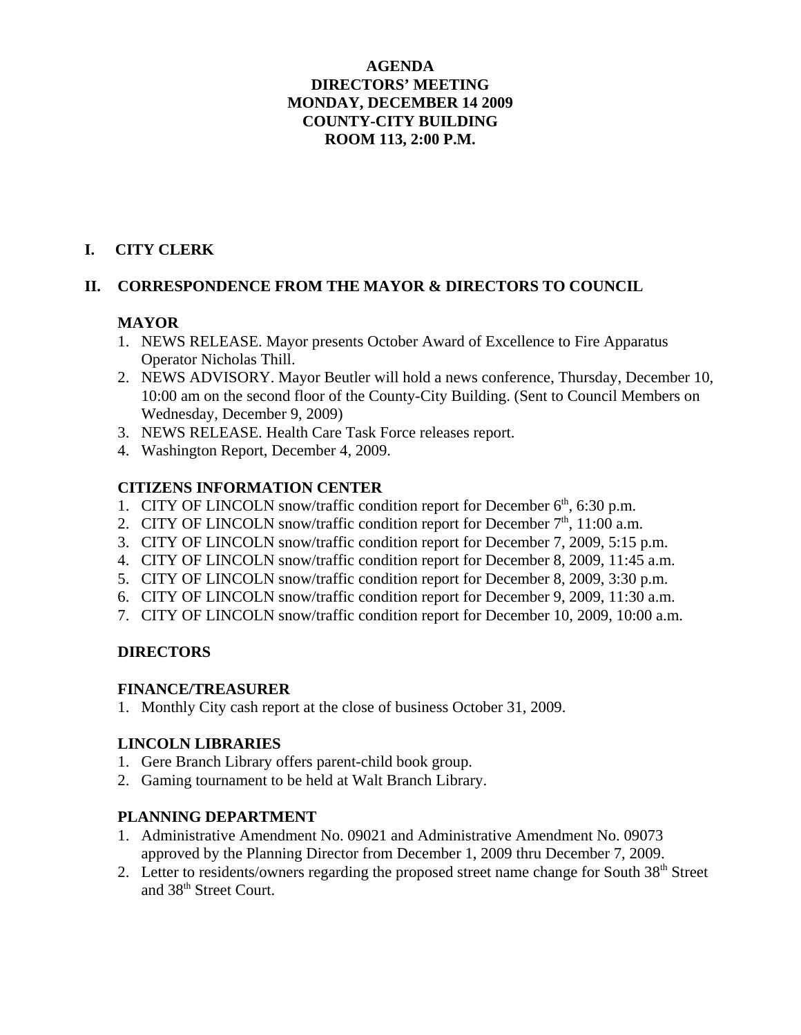# **AGENDA DIRECTORS' MEETING MONDAY, DECEMBER 14 2009 COUNTY-CITY BUILDING ROOM 113, 2:00 P.M.**

# **I. CITY CLERK**

# **II. CORRESPONDENCE FROM THE MAYOR & DIRECTORS TO COUNCIL**

# **MAYOR**

- 1. NEWS RELEASE. Mayor presents October Award of Excellence to Fire Apparatus Operator Nicholas Thill.
- 2. NEWS ADVISORY. Mayor Beutler will hold a news conference, Thursday, December 10, 10:00 am on the second floor of the County-City Building. (Sent to Council Members on Wednesday, December 9, 2009)
- 3. NEWS RELEASE. Health Care Task Force releases report.
- 4. Washington Report, December 4, 2009.

## **CITIZENS INFORMATION CENTER**

- 1. CITY OF LINCOLN snow/traffic condition report for December  $6<sup>th</sup>$ , 6:30 p.m.
- 2. CITY OF LINCOLN snow/traffic condition report for December  $7<sup>th</sup>$ , 11:00 a.m.
- 3. CITY OF LINCOLN snow/traffic condition report for December 7, 2009, 5:15 p.m.
- 4. CITY OF LINCOLN snow/traffic condition report for December 8, 2009, 11:45 a.m.
- 5. CITY OF LINCOLN snow/traffic condition report for December 8, 2009, 3:30 p.m.
- 6. CITY OF LINCOLN snow/traffic condition report for December 9, 2009, 11:30 a.m.
- 7. CITY OF LINCOLN snow/traffic condition report for December 10, 2009, 10:00 a.m.

# **DIRECTORS**

## **FINANCE/TREASURER**

1. Monthly City cash report at the close of business October 31, 2009.

# **LINCOLN LIBRARIES**

- 1. Gere Branch Library offers parent-child book group.
- 2. Gaming tournament to be held at Walt Branch Library.

# **PLANNING DEPARTMENT**

- 1. Administrative Amendment No. 09021 and Administrative Amendment No. 09073 approved by the Planning Director from December 1, 2009 thru December 7, 2009.
- 2. Letter to residents/owners regarding the proposed street name change for South 38<sup>th</sup> Street and 38<sup>th</sup> Street Court.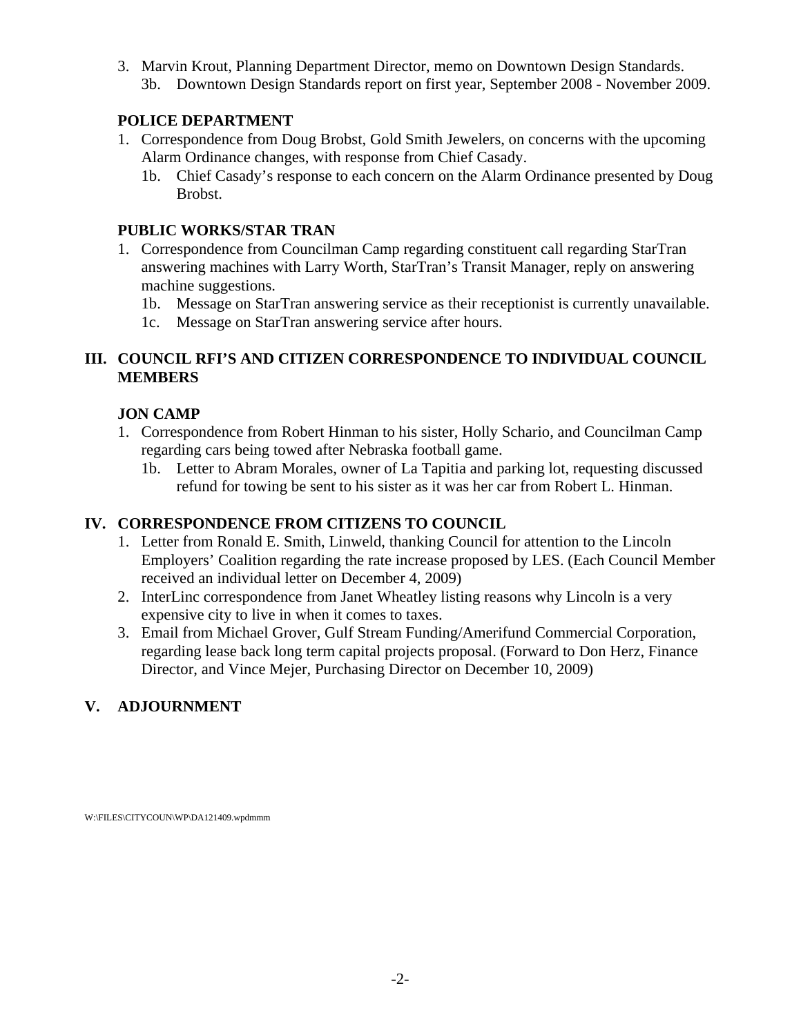3. Marvin Krout, Planning Department Director, memo on Downtown Design Standards. 3b. Downtown Design Standards report on first year, September 2008 - November 2009.

# **POLICE DEPARTMENT**

- 1. Correspondence from Doug Brobst, Gold Smith Jewelers, on concerns with the upcoming Alarm Ordinance changes, with response from Chief Casady.
	- 1b. Chief Casady's response to each concern on the Alarm Ordinance presented by Doug Brobst.

# **PUBLIC WORKS/STAR TRAN**

- 1. Correspondence from Councilman Camp regarding constituent call regarding StarTran answering machines with Larry Worth, StarTran's Transit Manager, reply on answering machine suggestions.
	- 1b. Message on StarTran answering service as their receptionist is currently unavailable.
	- 1c. Message on StarTran answering service after hours.

# **III. COUNCIL RFI'S AND CITIZEN CORRESPONDENCE TO INDIVIDUAL COUNCIL MEMBERS**

# **JON CAMP**

- 1. Correspondence from Robert Hinman to his sister, Holly Schario, and Councilman Camp regarding cars being towed after Nebraska football game.
	- 1b. Letter to Abram Morales, owner of La Tapitia and parking lot, requesting discussed refund for towing be sent to his sister as it was her car from Robert L. Hinman.

# **IV. CORRESPONDENCE FROM CITIZENS TO COUNCIL**

- 1. Letter from Ronald E. Smith, Linweld, thanking Council for attention to the Lincoln Employers' Coalition regarding the rate increase proposed by LES. (Each Council Member received an individual letter on December 4, 2009)
- 2. InterLinc correspondence from Janet Wheatley listing reasons why Lincoln is a very expensive city to live in when it comes to taxes.
- 3. Email from Michael Grover, Gulf Stream Funding/Amerifund Commercial Corporation, regarding lease back long term capital projects proposal. (Forward to Don Herz, Finance Director, and Vince Mejer, Purchasing Director on December 10, 2009)

# **V. ADJOURNMENT**

W:\FILES\CITYCOUN\WP\DA121409.wpdmmm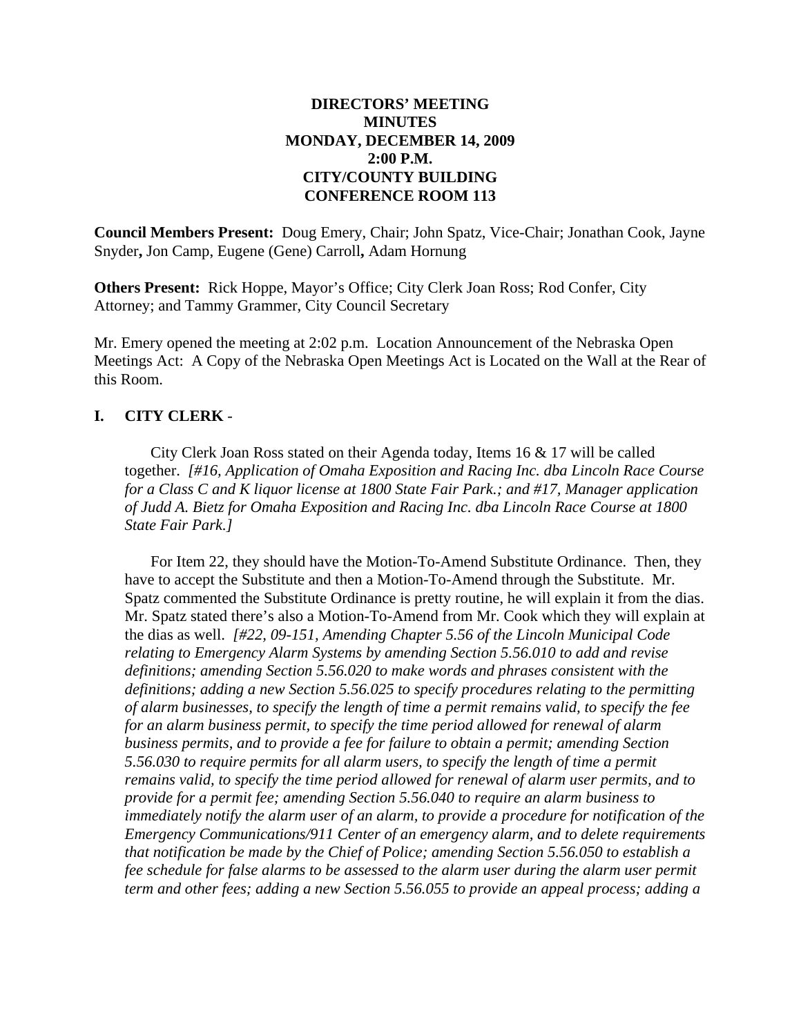## **DIRECTORS' MEETING MINUTES MONDAY, DECEMBER 14, 2009 2:00 P.M. CITY/COUNTY BUILDING CONFERENCE ROOM 113**

**Council Members Present:** Doug Emery, Chair; John Spatz, Vice-Chair; Jonathan Cook, Jayne Snyder**,** Jon Camp, Eugene (Gene) Carroll**,** Adam Hornung

**Others Present:** Rick Hoppe, Mayor's Office; City Clerk Joan Ross; Rod Confer, City Attorney; and Tammy Grammer, City Council Secretary

Mr. Emery opened the meeting at 2:02 p.m. Location Announcement of the Nebraska Open Meetings Act: A Copy of the Nebraska Open Meetings Act is Located on the Wall at the Rear of this Room.

## **I. CITY CLERK** -

City Clerk Joan Ross stated on their Agenda today, Items 16 & 17 will be called together. *[#16, Application of Omaha Exposition and Racing Inc. dba Lincoln Race Course for a Class C and K liquor license at 1800 State Fair Park.; and #17, Manager application of Judd A. Bietz for Omaha Exposition and Racing Inc. dba Lincoln Race Course at 1800 State Fair Park.]*

For Item 22, they should have the Motion-To-Amend Substitute Ordinance. Then, they have to accept the Substitute and then a Motion-To-Amend through the Substitute. Mr. Spatz commented the Substitute Ordinance is pretty routine, he will explain it from the dias. Mr. Spatz stated there's also a Motion-To-Amend from Mr. Cook which they will explain at the dias as well. *[#22, 09-151, Amending Chapter 5.56 of the Lincoln Municipal Code relating to Emergency Alarm Systems by amending Section 5.56.010 to add and revise definitions; amending Section 5.56.020 to make words and phrases consistent with the definitions; adding a new Section 5.56.025 to specify procedures relating to the permitting of alarm businesses, to specify the length of time a permit remains valid, to specify the fee for an alarm business permit, to specify the time period allowed for renewal of alarm business permits, and to provide a fee for failure to obtain a permit; amending Section 5.56.030 to require permits for all alarm users, to specify the length of time a permit remains valid, to specify the time period allowed for renewal of alarm user permits, and to provide for a permit fee; amending Section 5.56.040 to require an alarm business to immediately notify the alarm user of an alarm, to provide a procedure for notification of the Emergency Communications/911 Center of an emergency alarm, and to delete requirements that notification be made by the Chief of Police; amending Section 5.56.050 to establish a fee schedule for false alarms to be assessed to the alarm user during the alarm user permit term and other fees; adding a new Section 5.56.055 to provide an appeal process; adding a*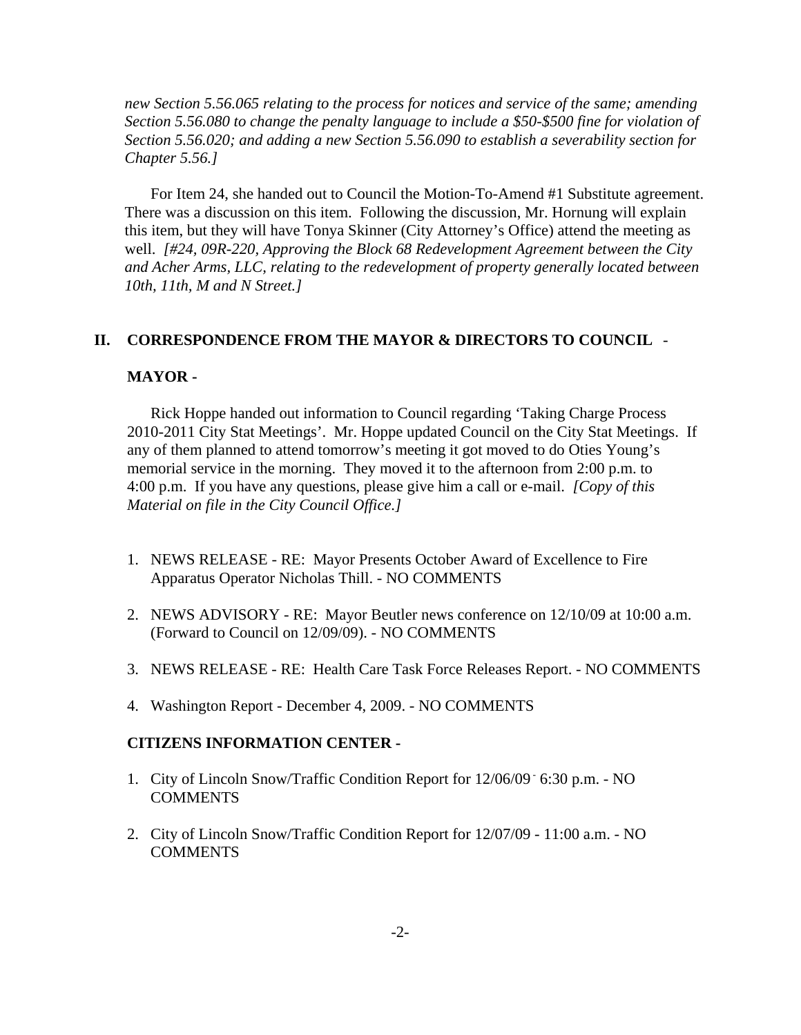*new Section 5.56.065 relating to the process for notices and service of the same; amending Section 5.56.080 to change the penalty language to include a \$50-\$500 fine for violation of Section 5.56.020; and adding a new Section 5.56.090 to establish a severability section for Chapter 5.56.]*

For Item 24, she handed out to Council the Motion-To-Amend #1 Substitute agreement. There was a discussion on this item. Following the discussion, Mr. Hornung will explain this item, but they will have Tonya Skinner (City Attorney's Office) attend the meeting as well. *[#24, 09R-220, Approving the Block 68 Redevelopment Agreement between the City and Acher Arms, LLC, relating to the redevelopment of property generally located between 10th, 11th, M and N Street.]*

#### **II. CORRESPONDENCE FROM THE MAYOR & DIRECTORS TO COUNCIL** -

#### **MAYOR -**

Rick Hoppe handed out information to Council regarding 'Taking Charge Process 2010-2011 City Stat Meetings'. Mr. Hoppe updated Council on the City Stat Meetings. If any of them planned to attend tomorrow's meeting it got moved to do Oties Young's memorial service in the morning. They moved it to the afternoon from 2:00 p.m. to 4:00 p.m. If you have any questions, please give him a call or e-mail. *[Copy of this Material on file in the City Council Office.]* 

- 1. NEWS RELEASE RE: Mayor Presents October Award of Excellence to Fire Apparatus Operator Nicholas Thill. - NO COMMENTS
- 2. NEWS ADVISORY RE: Mayor Beutler news conference on 12/10/09 at 10:00 a.m. (Forward to Council on 12/09/09). - NO COMMENTS
- 3. NEWS RELEASE RE: Health Care Task Force Releases Report. NO COMMENTS
- 4. Washington Report December 4, 2009. NO COMMENTS

#### **CITIZENS INFORMATION CENTER -**

- 1. City of Lincoln Snow/Traffic Condition Report for 12/06/09 6:30 p.m. NO **COMMENTS**
- 2. City of Lincoln Snow/Traffic Condition Report for 12/07/09 11:00 a.m. NO **COMMENTS**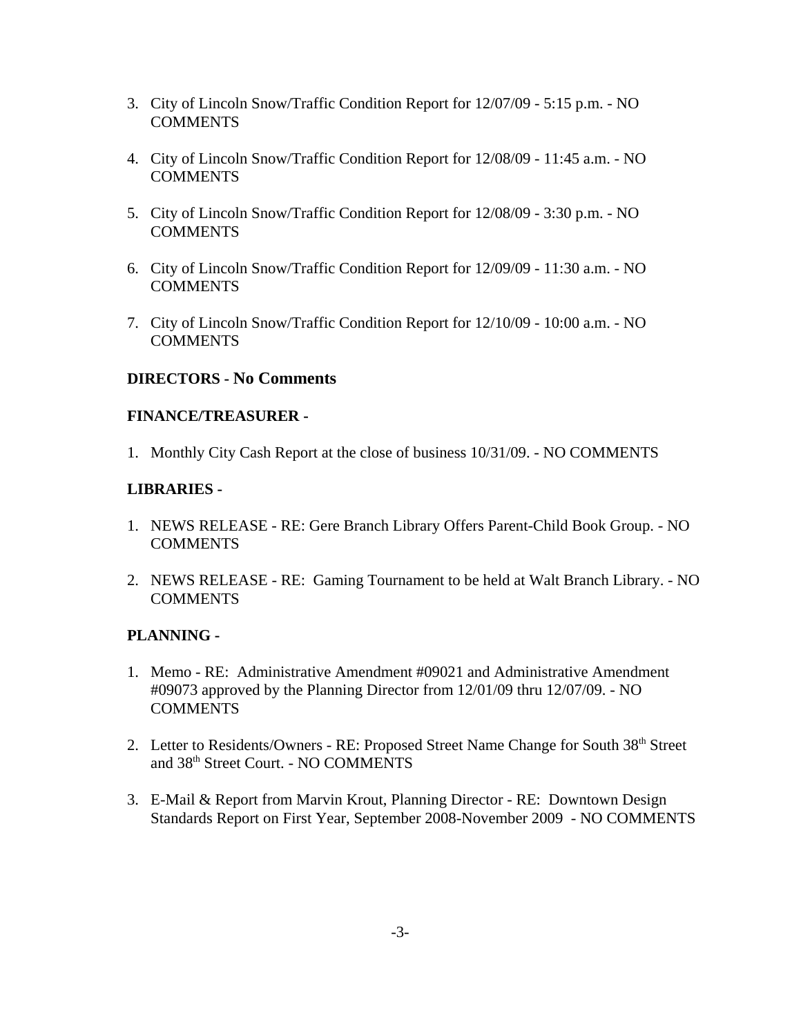- 3. City of Lincoln Snow/Traffic Condition Report for 12/07/09 5:15 p.m. NO **COMMENTS**
- 4. City of Lincoln Snow/Traffic Condition Report for 12/08/09 11:45 a.m. NO COMMENTS
- 5. City of Lincoln Snow/Traffic Condition Report for 12/08/09 3:30 p.m. NO **COMMENTS**
- 6. City of Lincoln Snow/Traffic Condition Report for 12/09/09 11:30 a.m. NO **COMMENTS**
- 7. City of Lincoln Snow/Traffic Condition Report for 12/10/09 10:00 a.m. NO **COMMENTS**

## **DIRECTORS - No Comments**

## **FINANCE/TREASURER -**

1. Monthly City Cash Report at the close of business 10/31/09. - NO COMMENTS

## **LIBRARIES -**

- 1. NEWS RELEASE RE: Gere Branch Library Offers Parent-Child Book Group. NO COMMENTS
- 2. NEWS RELEASE RE: Gaming Tournament to be held at Walt Branch Library. NO **COMMENTS**

## **PLANNING -**

- 1. Memo RE: Administrative Amendment #09021 and Administrative Amendment #09073 approved by the Planning Director from 12/01/09 thru 12/07/09. - NO COMMENTS
- 2. Letter to Residents/Owners RE: Proposed Street Name Change for South 38<sup>th</sup> Street and 38th Street Court. - NO COMMENTS
- 3. E-Mail & Report from Marvin Krout, Planning Director RE: Downtown Design Standards Report on First Year, September 2008-November 2009 - NO COMMENTS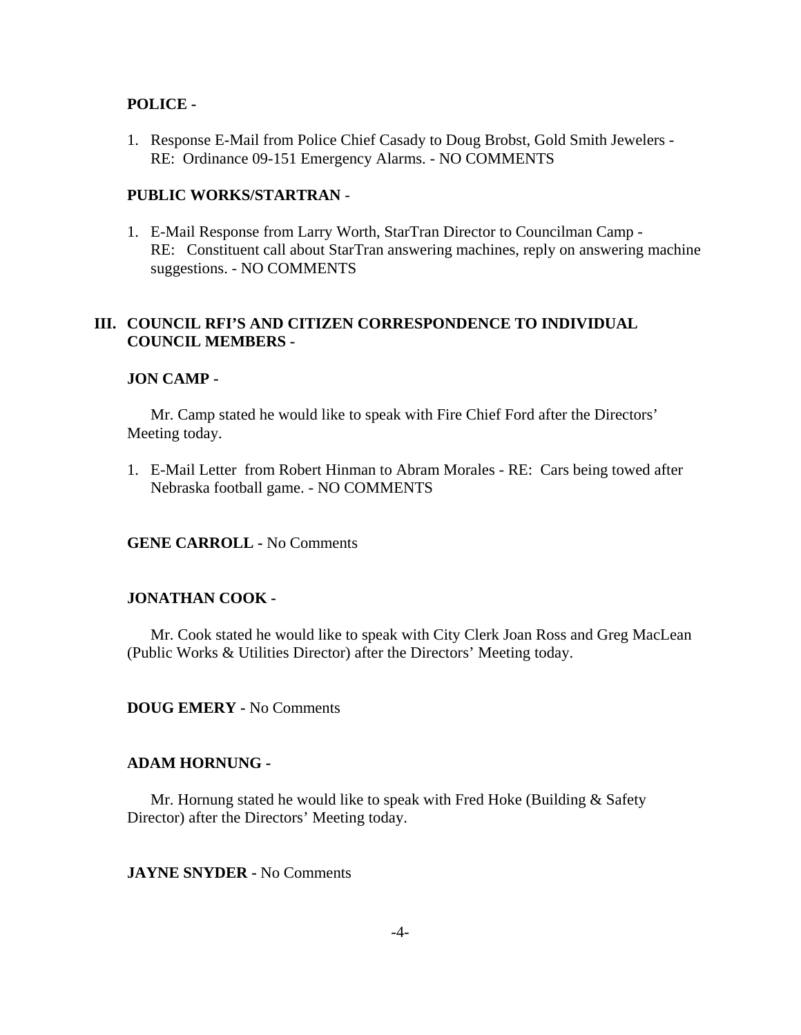#### **POLICE -**

1. Response E-Mail from Police Chief Casady to Doug Brobst, Gold Smith Jewelers - RE: Ordinance 09-151 Emergency Alarms. - NO COMMENTS

#### **PUBLIC WORKS/STARTRAN** -

1. E-Mail Response from Larry Worth, StarTran Director to Councilman Camp - RE: Constituent call about StarTran answering machines, reply on answering machine suggestions. - NO COMMENTS

## **III. COUNCIL RFI'S AND CITIZEN CORRESPONDENCE TO INDIVIDUAL COUNCIL MEMBERS -**

#### **JON CAMP -**

Mr. Camp stated he would like to speak with Fire Chief Ford after the Directors' Meeting today.

1. E-Mail Letter from Robert Hinman to Abram Morales - RE: Cars being towed after Nebraska football game. - NO COMMENTS

**GENE CARROLL -** No Comments

## **JONATHAN COOK -**

Mr. Cook stated he would like to speak with City Clerk Joan Ross and Greg MacLean (Public Works & Utilities Director) after the Directors' Meeting today.

**DOUG EMERY -** No Comments

#### **ADAM HORNUNG -**

Mr. Hornung stated he would like to speak with Fred Hoke (Building & Safety Director) after the Directors' Meeting today.

**JAYNE SNYDER -** No Comments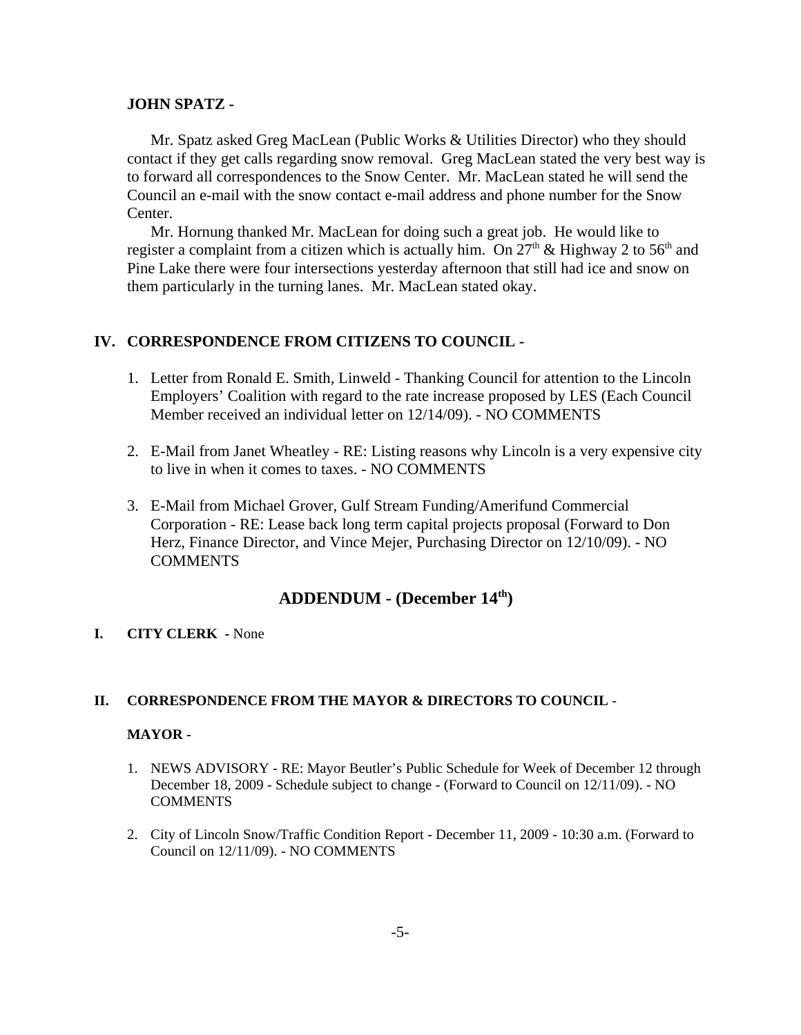#### **JOHN SPATZ -**

Mr. Spatz asked Greg MacLean (Public Works & Utilities Director) who they should contact if they get calls regarding snow removal. Greg MacLean stated the very best way is to forward all correspondences to the Snow Center. Mr. MacLean stated he will send the Council an e-mail with the snow contact e-mail address and phone number for the Snow Center.

Mr. Hornung thanked Mr. MacLean for doing such a great job. He would like to register a complaint from a citizen which is actually him. On  $27<sup>th</sup>$  & Highway 2 to 56<sup>th</sup> and Pine Lake there were four intersections yesterday afternoon that still had ice and snow on them particularly in the turning lanes. Mr. MacLean stated okay.

## **IV. CORRESPONDENCE FROM CITIZENS TO COUNCIL -**

- 1. Letter from Ronald E. Smith, Linweld Thanking Council for attention to the Lincoln Employers' Coalition with regard to the rate increase proposed by LES (Each Council Member received an individual letter on 12/14/09). - NO COMMENTS
- 2. E-Mail from Janet Wheatley RE: Listing reasons why Lincoln is a very expensive city to live in when it comes to taxes. - NO COMMENTS
- 3. E-Mail from Michael Grover, Gulf Stream Funding/Amerifund Commercial Corporation - RE: Lease back long term capital projects proposal (Forward to Don Herz, Finance Director, and Vince Mejer, Purchasing Director on 12/10/09). - NO **COMMENTS**

# **ADDENDUM - (December 14th)**

## **I. CITY CLERK -** None

## **II. CORRESPONDENCE FROM THE MAYOR & DIRECTORS TO COUNCIL** -

#### **MAYOR -**

- 1. NEWS ADVISORY RE: Mayor Beutler's Public Schedule for Week of December 12 through December 18, 2009 - Schedule subject to change - (Forward to Council on 12/11/09). - NO **COMMENTS**
- 2. City of Lincoln Snow/Traffic Condition Report December 11, 2009 10:30 a.m. (Forward to Council on 12/11/09). - NO COMMENTS